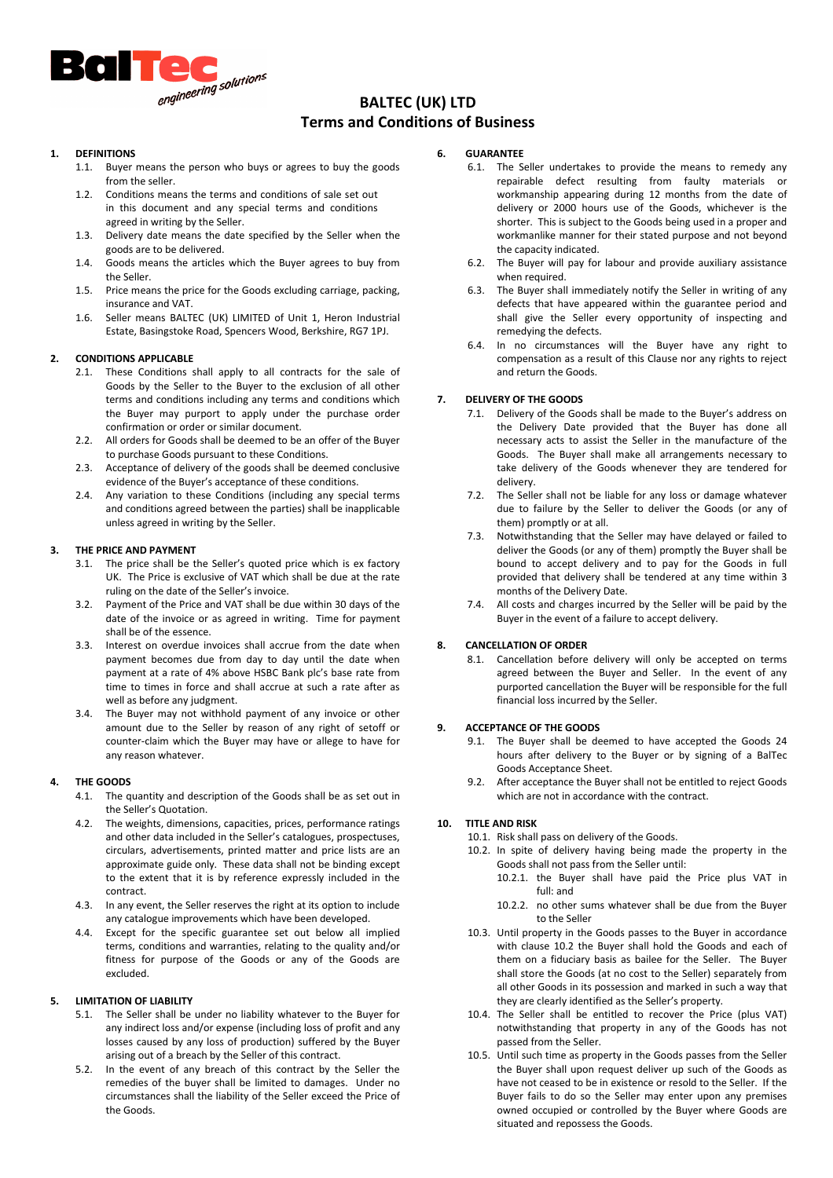

# BALTEC (UK) LTD Terms and Conditions of Business

## **DEFINITIONS**

- 1.1. Buyer means the person who buys or agrees to buy the goods from the seller
- 1.2. Conditions means the terms and conditions of sale set out in this document and any special terms and conditions agreed in writing by the Seller.
- 1.3. Delivery date means the date specified by the Seller when the goods are to be delivered.
- 1.4. Goods means the articles which the Buyer agrees to buy from the Seller.
- 1.5. Price means the price for the Goods excluding carriage, packing, insurance and VAT.
- 1.6. Seller means BALTEC (UK) LIMITED of Unit 1, Heron Industrial Estate, Basingstoke Road, Spencers Wood, Berkshire, RG7 1PJ.

# 2. CONDITIONS APPLICABLE

- 2.1. These Conditions shall apply to all contracts for the sale of Goods by the Seller to the Buyer to the exclusion of all other terms and conditions including any terms and conditions which the Buyer may purport to apply under the purchase order confirmation or order or similar document.
- 2.2. All orders for Goods shall be deemed to be an offer of the Buyer to purchase Goods pursuant to these Conditions.
- 2.3. Acceptance of delivery of the goods shall be deemed conclusive evidence of the Buyer's acceptance of these conditions.
- 2.4. Any variation to these Conditions (including any special terms and conditions agreed between the parties) shall be inapplicable unless agreed in writing by the Seller.

## 3. THE PRICE AND PAYMENT

- 3.1. The price shall be the Seller's quoted price which is ex factory UK. The Price is exclusive of VAT which shall be due at the rate ruling on the date of the Seller's invoice.
- 3.2. Payment of the Price and VAT shall be due within 30 days of the date of the invoice or as agreed in writing. Time for payment shall be of the essence.
- 3.3. Interest on overdue invoices shall accrue from the date when payment becomes due from day to day until the date when payment at a rate of 4% above HSBC Bank plc's base rate from time to times in force and shall accrue at such a rate after as well as before any judgment.
- 3.4. The Buyer may not withhold payment of any invoice or other amount due to the Seller by reason of any right of setoff or counter-claim which the Buyer may have or allege to have for any reason whatever.

## 4. THE GOODS

- 4.1. The quantity and description of the Goods shall be as set out in the Seller's Quotation.
- 4.2. The weights, dimensions, capacities, prices, performance ratings and other data included in the Seller's catalogues, prospectuses, circulars, advertisements, printed matter and price lists are an approximate guide only. These data shall not be binding except to the extent that it is by reference expressly included in the contract.
- 4.3. In any event, the Seller reserves the right at its option to include any catalogue improvements which have been developed.
- 4.4. Except for the specific guarantee set out below all implied terms, conditions and warranties, relating to the quality and/or fitness for purpose of the Goods or any of the Goods are excluded.

## 5. LIMITATION OF LIABILITY

- 5.1. The Seller shall be under no liability whatever to the Buyer for any indirect loss and/or expense (including loss of profit and any losses caused by any loss of production) suffered by the Buyer arising out of a breach by the Seller of this contract.
- 5.2. In the event of any breach of this contract by the Seller the remedies of the buyer shall be limited to damages. Under no circumstances shall the liability of the Seller exceed the Price of the Goods.

## 6. GUARANTEE

- 6.1. The Seller undertakes to provide the means to remedy any repairable defect resulting from faulty materials or workmanship appearing during 12 months from the date of delivery or 2000 hours use of the Goods, whichever is the shorter. This is subject to the Goods being used in a proper and workmanlike manner for their stated purpose and not beyond the capacity indicated.
- 6.2. The Buyer will pay for labour and provide auxiliary assistance when required.
- 6.3. The Buyer shall immediately notify the Seller in writing of any defects that have appeared within the guarantee period and shall give the Seller every opportunity of inspecting and remedying the defects.
- 6.4. In no circumstances will the Buyer have any right to compensation as a result of this Clause nor any rights to reject and return the Goods.

# 7. DELIVERY OF THE GOODS

- 7.1. Delivery of the Goods shall be made to the Buyer's address on the Delivery Date provided that the Buyer has done all necessary acts to assist the Seller in the manufacture of the Goods. The Buyer shall make all arrangements necessary to take delivery of the Goods whenever they are tendered for delivery.
- 7.2. The Seller shall not be liable for any loss or damage whatever due to failure by the Seller to deliver the Goods (or any of them) promptly or at all.
- 7.3. Notwithstanding that the Seller may have delayed or failed to deliver the Goods (or any of them) promptly the Buyer shall be bound to accept delivery and to pay for the Goods in full provided that delivery shall be tendered at any time within 3 months of the Delivery Date.
- 7.4. All costs and charges incurred by the Seller will be paid by the Buyer in the event of a failure to accept delivery.

# 8. CANCELLATION OF ORDER

8.1. Cancellation before delivery will only be accepted on terms agreed between the Buyer and Seller. In the event of any purported cancellation the Buyer will be responsible for the full financial loss incurred by the Seller.

# 9. ACCEPTANCE OF THE GOODS

- 9.1. The Buyer shall be deemed to have accepted the Goods 24 hours after delivery to the Buyer or by signing of a BalTec Goods Acceptance Sheet.
- 9.2. After acceptance the Buyer shall not be entitled to reject Goods which are not in accordance with the contract.

## 10. TITLE AND RISK

- 10.1. Risk shall pass on delivery of the Goods.
- 10.2. In spite of delivery having being made the property in the Goods shall not pass from the Seller until:
	- 10.2.1. the Buyer shall have paid the Price plus VAT in full: and
	- 10.2.2. no other sums whatever shall be due from the Buyer to the Seller
- 10.3. Until property in the Goods passes to the Buyer in accordance with clause 10.2 the Buyer shall hold the Goods and each of them on a fiduciary basis as bailee for the Seller. The Buyer shall store the Goods (at no cost to the Seller) separately from all other Goods in its possession and marked in such a way that they are clearly identified as the Seller's property.
- 10.4. The Seller shall be entitled to recover the Price (plus VAT) notwithstanding that property in any of the Goods has not passed from the Seller.
- 10.5. Until such time as property in the Goods passes from the Seller the Buyer shall upon request deliver up such of the Goods as have not ceased to be in existence or resold to the Seller. If the Buyer fails to do so the Seller may enter upon any premises owned occupied or controlled by the Buyer where Goods are situated and repossess the Goods.